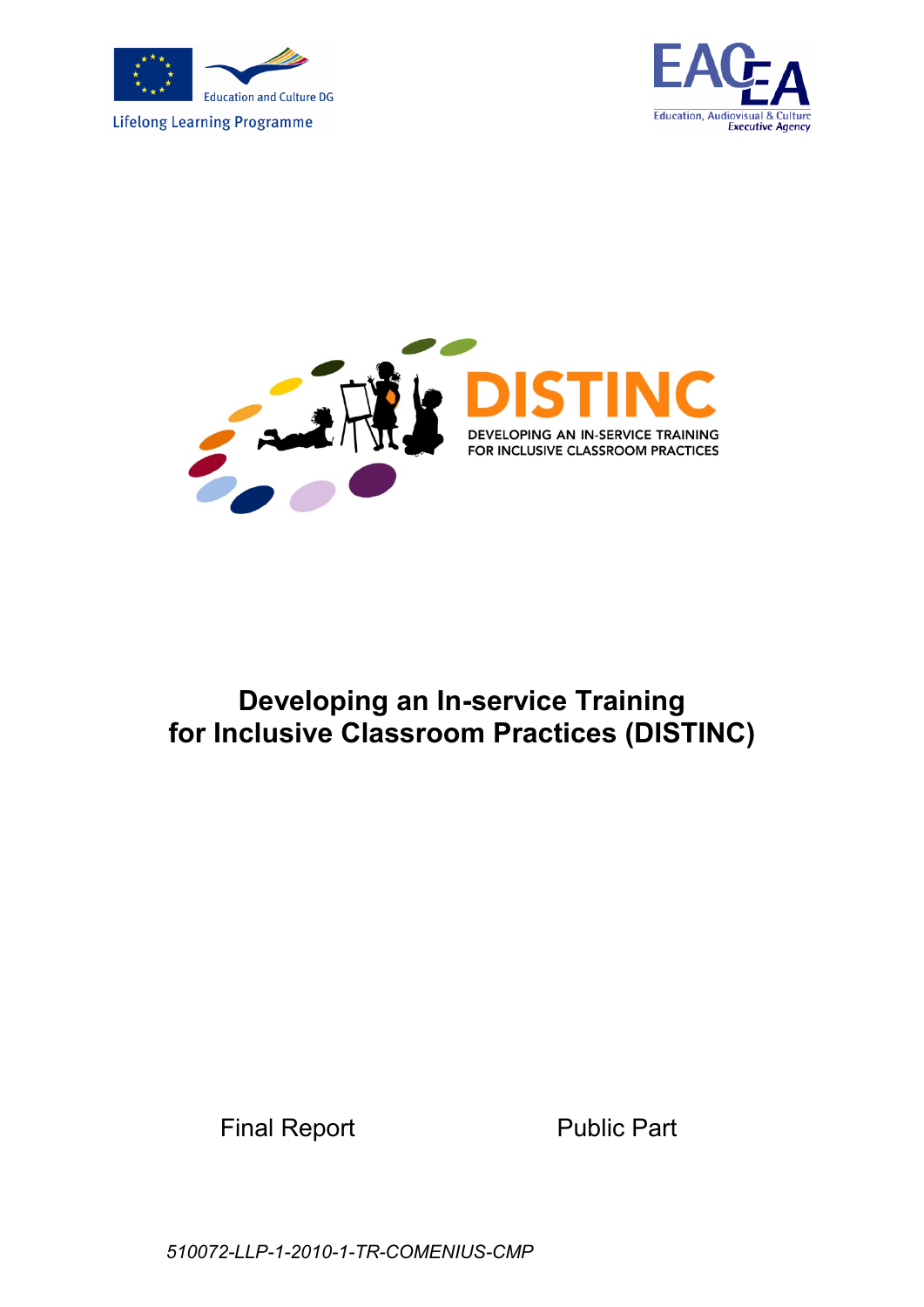





## **Developing an In-service Training for Inclusive Classroom Practices (DISTINC)**

Final Report Public Part

*510072-LLP-1-2010-1-TR-COMENIUS-CMP*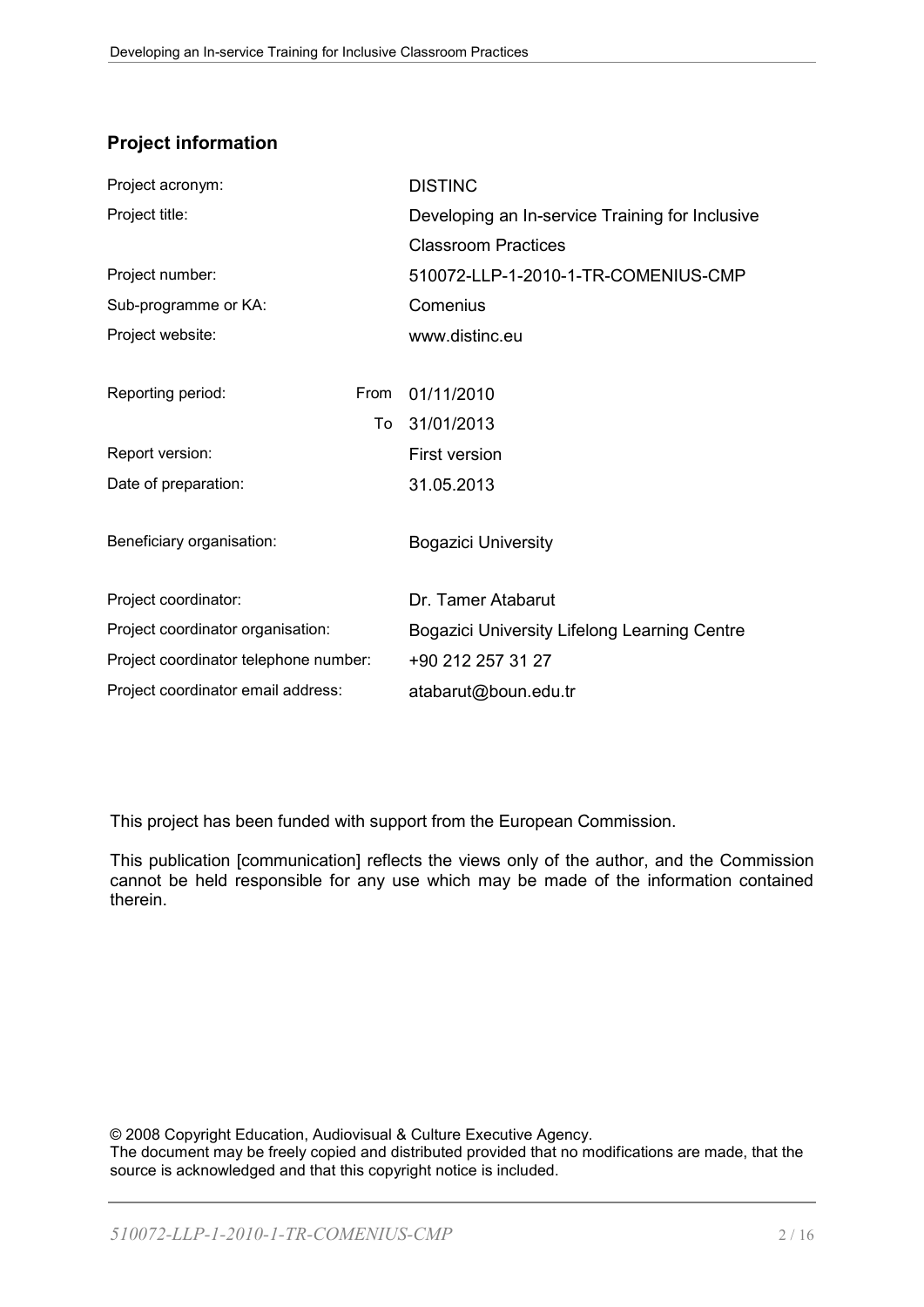## **Project information**

| Project acronym:                      |      | <b>DISTINC</b>                                  |
|---------------------------------------|------|-------------------------------------------------|
| Project title:                        |      | Developing an In-service Training for Inclusive |
|                                       |      | <b>Classroom Practices</b>                      |
| Project number:                       |      | 510072-LLP-1-2010-1-TR-COMENIUS-CMP             |
| Sub-programme or KA:                  |      | Comenius                                        |
| Project website:                      |      | www.distinc.eu                                  |
|                                       |      |                                                 |
| Reporting period:                     | From | 01/11/2010                                      |
|                                       | To   | 31/01/2013                                      |
| Report version:                       |      | First version                                   |
| Date of preparation:                  |      | 31.05.2013                                      |
|                                       |      |                                                 |
| Beneficiary organisation:             |      | <b>Bogazici University</b>                      |
|                                       |      |                                                 |
| Project coordinator:                  |      | Dr. Tamer Atabarut                              |
| Project coordinator organisation:     |      | Bogazici University Lifelong Learning Centre    |
| Project coordinator telephone number: |      | +90 212 257 31 27                               |
| Project coordinator email address:    |      | atabarut@boun.edu.tr                            |

This project has been funded with support from the European Commission.

This publication [communication] reflects the views only of the author, and the Commission cannot be held responsible for any use which may be made of the information contained therein.

© 2008 Copyright Education, Audiovisual & Culture Executive Agency.

The document may be freely copied and distributed provided that no modifications are made, that the source is acknowledged and that this copyright notice is included.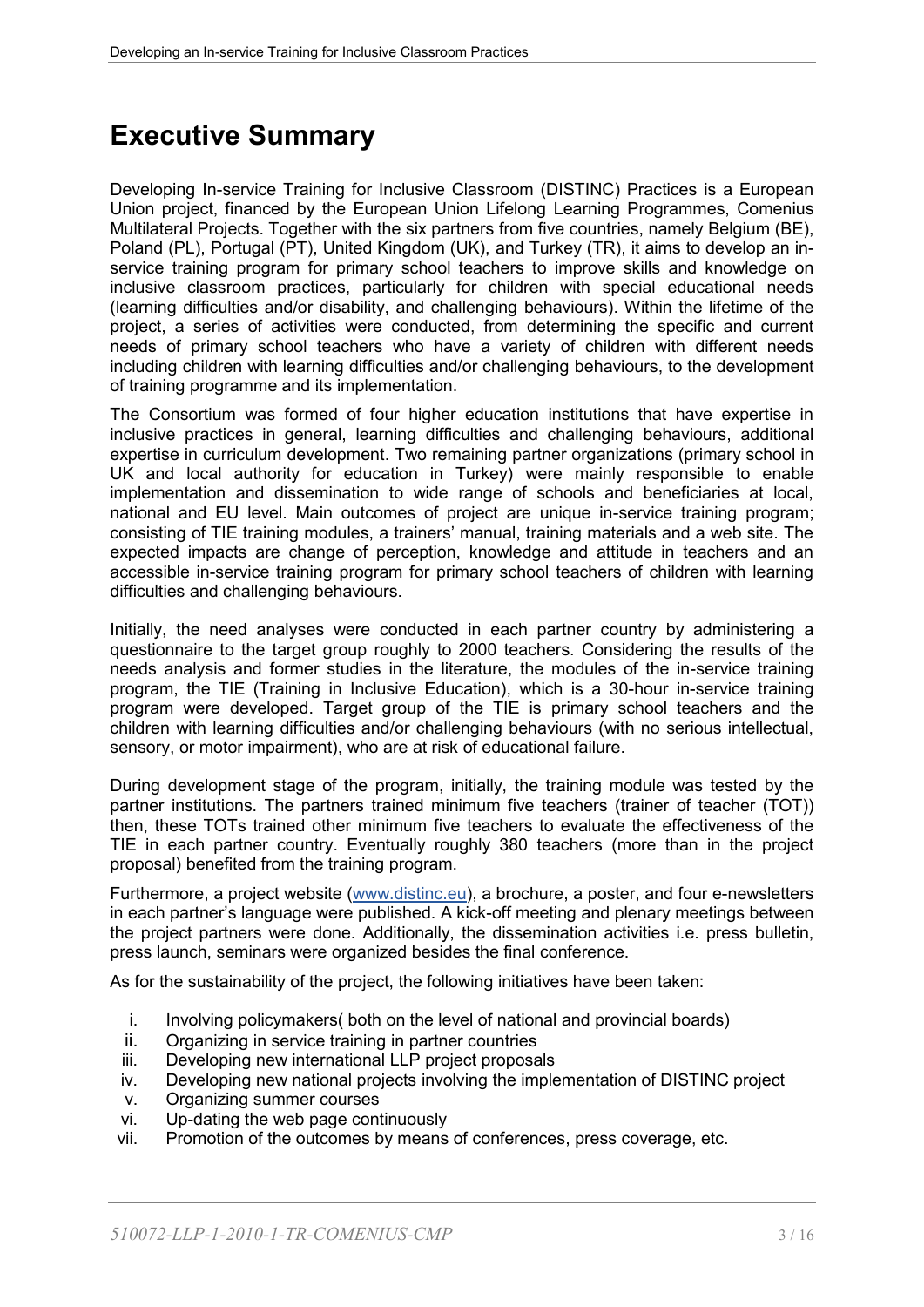## **Executive Summary**

Developing In-service Training for Inclusive Classroom (DISTINC) Practices is a European Union project, financed by the European Union Lifelong Learning Programmes, Comenius Multilateral Projects. Together with the six partners from five countries, namely Belgium (BE), Poland (PL), Portugal (PT), United Kingdom (UK), and Turkey (TR), it aims to develop an inservice training program for primary school teachers to improve skills and knowledge on inclusive classroom practices, particularly for children with special educational needs (learning difficulties and/or disability, and challenging behaviours). Within the lifetime of the project, a series of activities were conducted, from determining the specific and current needs of primary school teachers who have a variety of children with different needs including children with learning difficulties and/or challenging behaviours, to the development of training programme and its implementation.

The Consortium was formed of four higher education institutions that have expertise in inclusive practices in general, learning difficulties and challenging behaviours, additional expertise in curriculum development. Two remaining partner organizations (primary school in UK and local authority for education in Turkey) were mainly responsible to enable implementation and dissemination to wide range of schools and beneficiaries at local, national and EU level. Main outcomes of project are unique in-service training program; consisting of TIE training modules, a trainers' manual, training materials and a web site. The expected impacts are change of perception, knowledge and attitude in teachers and an accessible in-service training program for primary school teachers of children with learning difficulties and challenging behaviours.

Initially, the need analyses were conducted in each partner country by administering a questionnaire to the target group roughly to 2000 teachers. Considering the results of the needs analysis and former studies in the literature, the modules of the in-service training program, the TIE (Training in Inclusive Education), which is a 30-hour in-service training program were developed. Target group of the TIE is primary school teachers and the children with learning difficulties and/or challenging behaviours (with no serious intellectual, sensory, or motor impairment), who are at risk of educational failure.

During development stage of the program, initially, the training module was tested by the partner institutions. The partners trained minimum five teachers (trainer of teacher (TOT)) then, these TOTs trained other minimum five teachers to evaluate the effectiveness of the TIE in each partner country. Eventually roughly 380 teachers (more than in the project proposal) benefited from the training program.

Furthermore, a project website [\(www.distinc.eu\)](http://www.distinc.eu/), a brochure, a poster, and four e-newsletters in each partner's language were published. A kick-off meeting and plenary meetings between the project partners were done. Additionally, the dissemination activities i.e. press bulletin, press launch, seminars were organized besides the final conference.

As for the sustainability of the project, the following initiatives have been taken:

- i. Involving policymakers( both on the level of national and provincial boards)
- ii. Organizing in service training in partner countries
- iii. Developing new international LLP project proposals
- iv. Developing new national projects involving the implementation of DISTINC project
- v. Organizing summer courses
- vi. Up-dating the web page continuously
- vii. Promotion of the outcomes by means of conferences, press coverage, etc.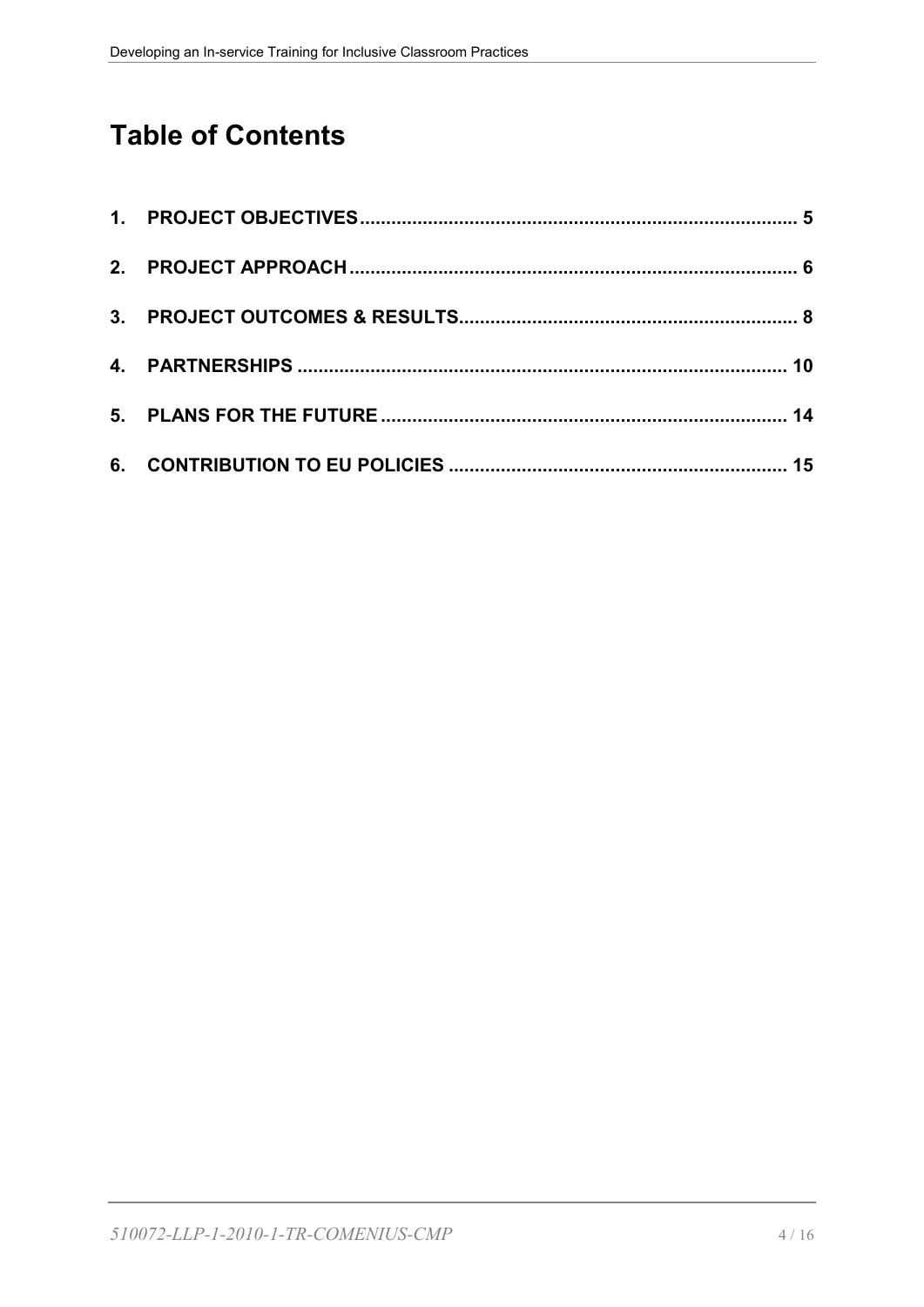# **Table of Contents**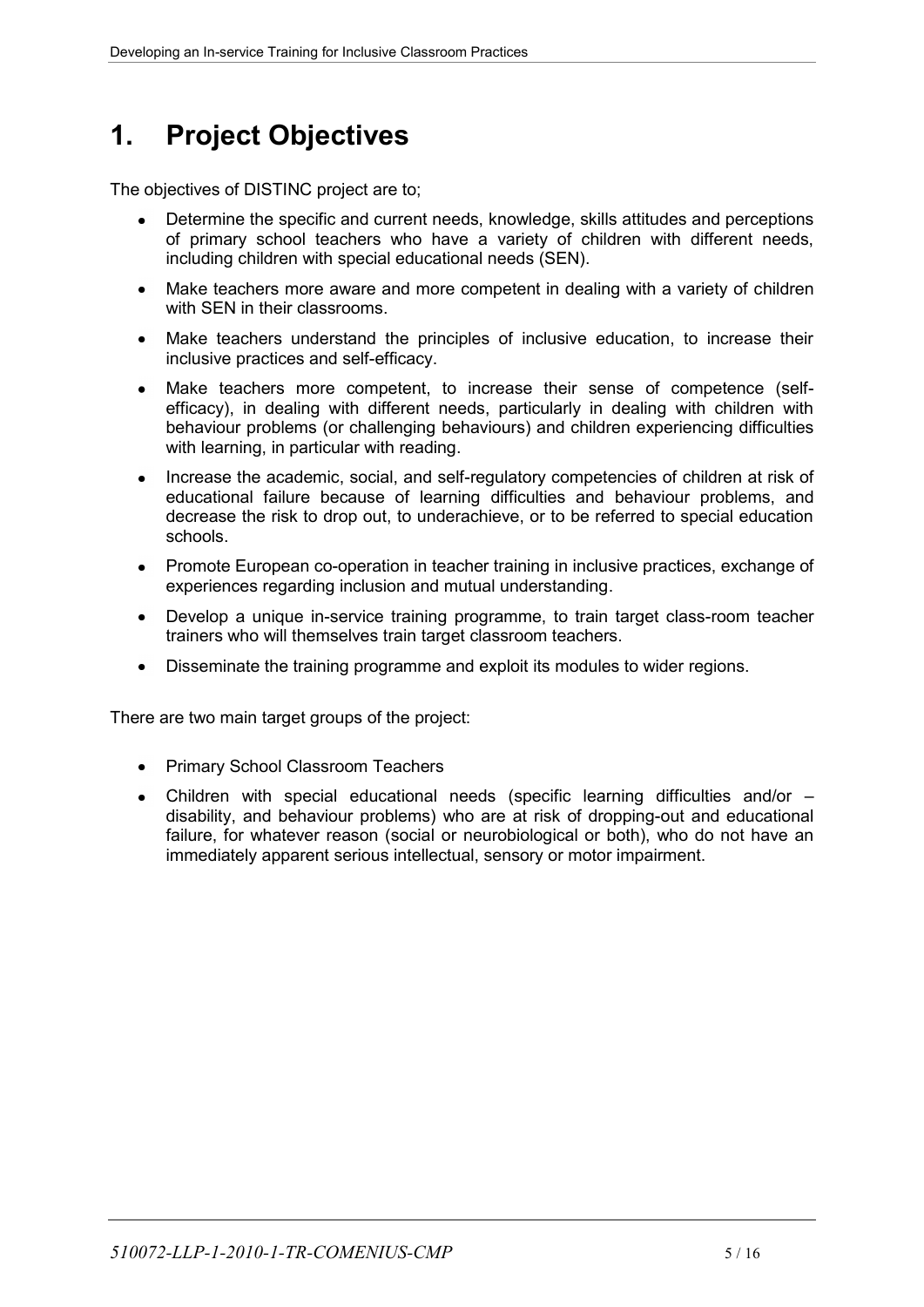## <span id="page-4-0"></span>**1. Project Objectives**

The objectives of DISTINC project are to;

- Determine the specific and current needs, knowledge, skills attitudes and perceptions of primary school teachers who have a variety of children with different needs, including children with special educational needs (SEN).
- Make teachers more aware and more competent in dealing with a variety of children with SEN in their classrooms.
- Make teachers understand the principles of inclusive education, to increase their inclusive practices and self-efficacy.
- Make teachers more competent, to increase their sense of competence (selfefficacy), in dealing with different needs, particularly in dealing with children with behaviour problems (or challenging behaviours) and children experiencing difficulties with learning, in particular with reading.
- Increase the academic, social, and self-regulatory competencies of children at risk of educational failure because of learning difficulties and behaviour problems, and decrease the risk to drop out, to underachieve, or to be referred to special education schools.
- Promote European co-operation in teacher training in inclusive practices, exchange of experiences regarding inclusion and mutual understanding.
- Develop a unique in-service training programme, to train target class-room teacher trainers who will themselves train target classroom teachers.
- Disseminate the training programme and exploit its modules to wider regions.

There are two main target groups of the project:

- Primary School Classroom Teachers
- Children with special educational needs (specific learning difficulties and/or disability, and behaviour problems) who are at risk of dropping-out and educational failure, for whatever reason (social or neurobiological or both), who do not have an immediately apparent serious intellectual, sensory or motor impairment.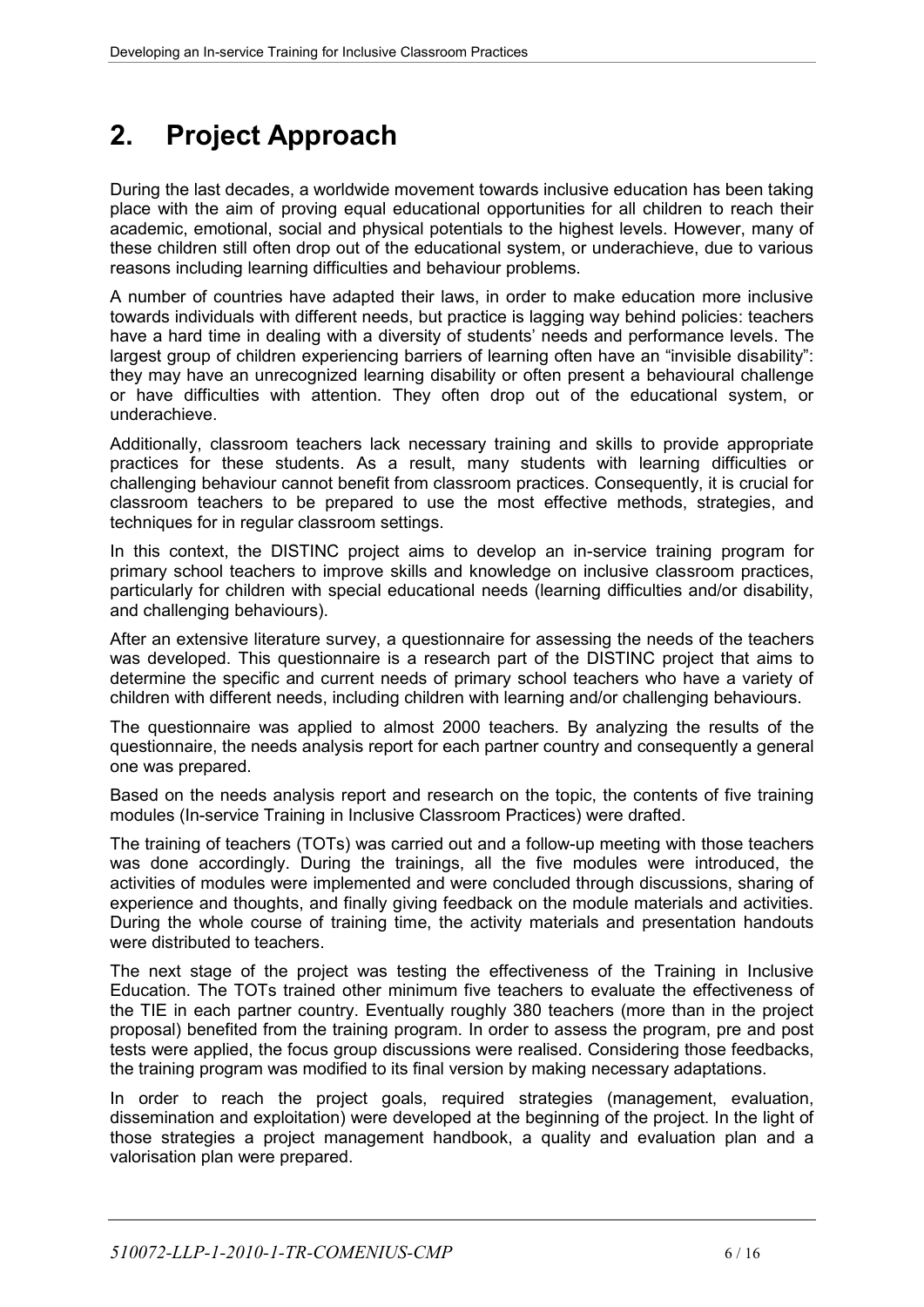## <span id="page-5-0"></span>**2. Project Approach**

During the last decades, a worldwide movement towards inclusive education has been taking place with the aim of proving equal educational opportunities for all children to reach their academic, emotional, social and physical potentials to the highest levels. However, many of these children still often drop out of the educational system, or underachieve, due to various reasons including learning difficulties and behaviour problems.

A number of countries have adapted their laws, in order to make education more inclusive towards individuals with different needs, but practice is lagging way behind policies: teachers have a hard time in dealing with a diversity of students' needs and performance levels. The largest group of children experiencing barriers of learning often have an "invisible disability": they may have an unrecognized learning disability or often present a behavioural challenge or have difficulties with attention. They often drop out of the educational system, or underachieve.

Additionally, classroom teachers lack necessary training and skills to provide appropriate practices for these students. As a result, many students with learning difficulties or challenging behaviour cannot benefit from classroom practices. Consequently, it is crucial for classroom teachers to be prepared to use the most effective methods, strategies, and techniques for in regular classroom settings.

In this context, the DISTINC project aims to develop an in-service training program for primary school teachers to improve skills and knowledge on inclusive classroom practices, particularly for children with special educational needs (learning difficulties and/or disability, and challenging behaviours).

After an extensive literature survey, a questionnaire for assessing the needs of the teachers was developed. This questionnaire is a research part of the DISTINC project that aims to determine the specific and current needs of primary school teachers who have a variety of children with different needs, including children with learning and/or challenging behaviours.

The questionnaire was applied to almost 2000 teachers. By analyzing the results of the questionnaire, the needs analysis report for each partner country and consequently a general one was prepared.

Based on the needs analysis report and research on the topic, the contents of five training modules (In-service Training in Inclusive Classroom Practices) were drafted.

The training of teachers (TOTs) was carried out and a follow-up meeting with those teachers was done accordingly. During the trainings, all the five modules were introduced, the activities of modules were implemented and were concluded through discussions, sharing of experience and thoughts, and finally giving feedback on the module materials and activities. During the whole course of training time, the activity materials and presentation handouts were distributed to teachers.

The next stage of the project was testing the effectiveness of the Training in Inclusive Education. The TOTs trained other minimum five teachers to evaluate the effectiveness of the TIE in each partner country. Eventually roughly 380 teachers (more than in the project proposal) benefited from the training program. In order to assess the program, pre and post tests were applied, the focus group discussions were realised. Considering those feedbacks, the training program was modified to its final version by making necessary adaptations.

In order to reach the project goals, required strategies (management, evaluation, dissemination and exploitation) were developed at the beginning of the project. In the light of those strategies a project management handbook, a quality and evaluation plan and a valorisation plan were prepared.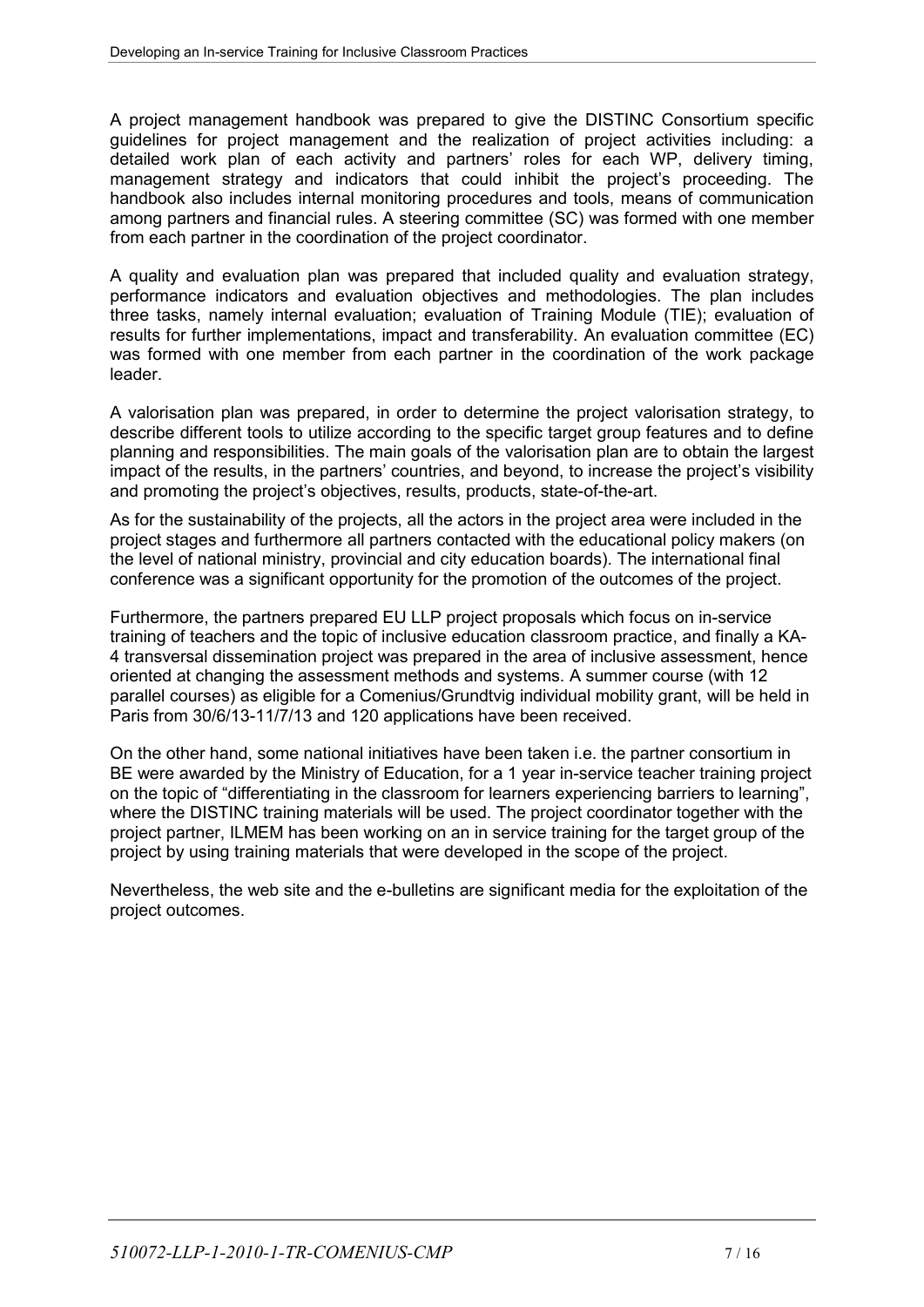A project management handbook was prepared to give the DISTINC Consortium specific guidelines for project management and the realization of project activities including: a detailed work plan of each activity and partners' roles for each WP, delivery timing, management strategy and indicators that could inhibit the project's proceeding. The handbook also includes internal monitoring procedures and tools, means of communication among partners and financial rules. A steering committee (SC) was formed with one member from each partner in the coordination of the project coordinator.

A quality and evaluation plan was prepared that included quality and evaluation strategy, performance indicators and evaluation objectives and methodologies. The plan includes three tasks, namely internal evaluation; evaluation of Training Module (TIE); evaluation of results for further implementations, impact and transferability. An evaluation committee (EC) was formed with one member from each partner in the coordination of the work package leader.

A valorisation plan was prepared, in order to determine the project valorisation strategy, to describe different tools to utilize according to the specific target group features and to define planning and responsibilities. The main goals of the valorisation plan are to obtain the largest impact of the results, in the partners' countries, and beyond, to increase the project's visibility and promoting the project's objectives, results, products, state-of-the-art.

As for the sustainability of the projects, all the actors in the project area were included in the project stages and furthermore all partners contacted with the educational policy makers (on the level of national ministry, provincial and city education boards). The international final conference was a significant opportunity for the promotion of the outcomes of the project.

Furthermore, the partners prepared EU LLP project proposals which focus on in-service training of teachers and the topic of inclusive education classroom practice, and finally a KA-4 transversal dissemination project was prepared in the area of inclusive assessment, hence oriented at changing the assessment methods and systems. A summer course (with 12 parallel courses) as eligible for a Comenius/Grundtvig individual mobility grant, will be held in Paris from 30/6/13-11/7/13 and 120 applications have been received.

On the other hand, some national initiatives have been taken i.e. the partner consortium in BE were awarded by the Ministry of Education, for a 1 year in-service teacher training project on the topic of "differentiating in the classroom for learners experiencing barriers to learning", where the DISTINC training materials will be used. The project coordinator together with the project partner, ILMEM has been working on an in service training for the target group of the project by using training materials that were developed in the scope of the project.

Nevertheless, the web site and the e-bulletins are significant media for the exploitation of the project outcomes.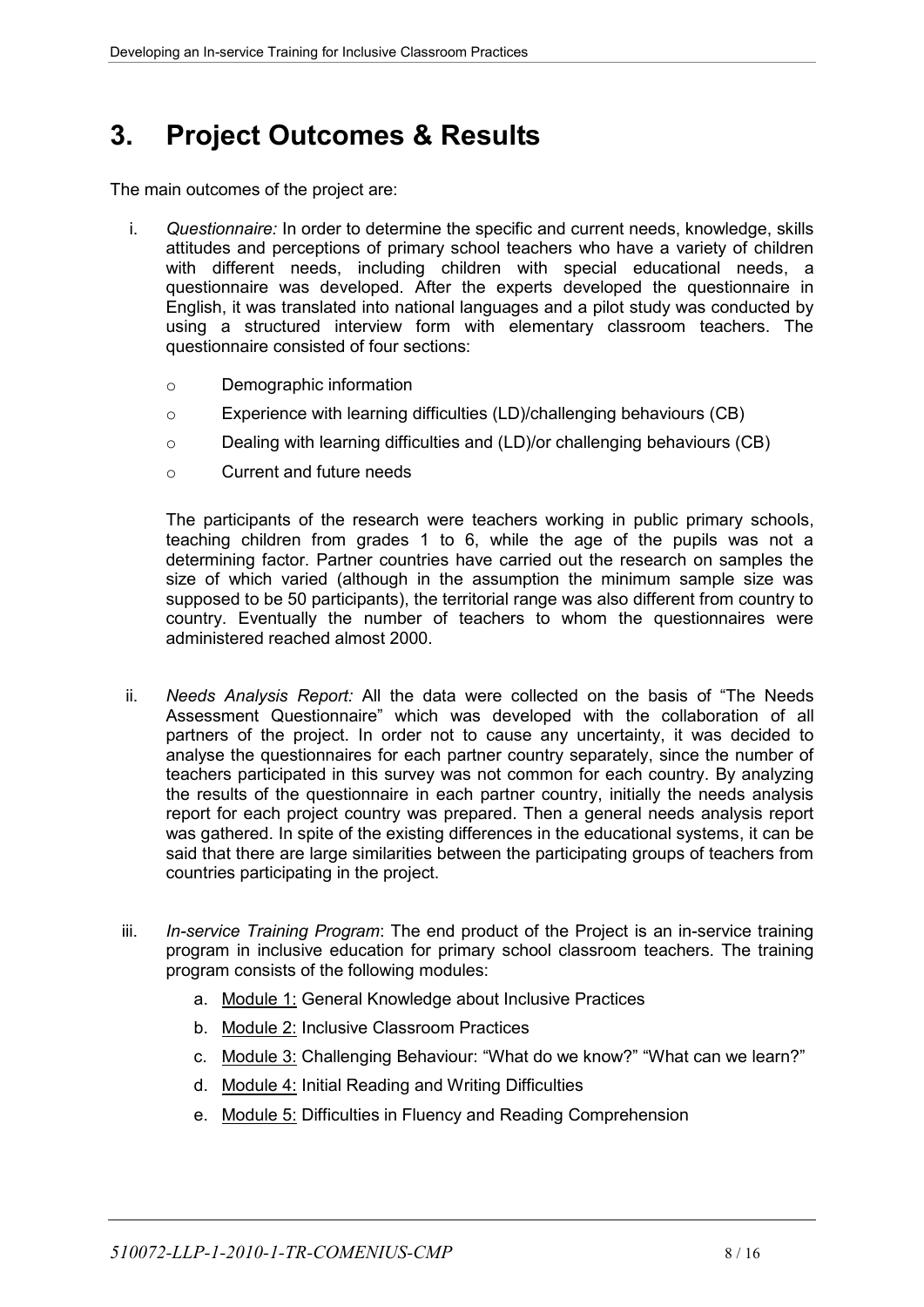## <span id="page-7-0"></span>**3. Project Outcomes & Results**

The main outcomes of the project are:

- i. *Questionnaire:* In order to determine the specific and current needs, knowledge, skills attitudes and perceptions of primary school teachers who have a variety of children with different needs, including children with special educational needs, a questionnaire was developed. After the experts developed the questionnaire in English, it was translated into national languages and a pilot study was conducted by using a structured interview form with elementary classroom teachers. The questionnaire consisted of four sections:
	- o Demographic information
	- o Experience with learning difficulties (LD)/challenging behaviours (CB)
	- $\circ$  Dealing with learning difficulties and (LD)/or challenging behaviours (CB)
	- o Current and future needs

The participants of the research were teachers working in public primary schools, teaching children from grades 1 to 6, while the age of the pupils was not a determining factor. Partner countries have carried out the research on samples the size of which varied (although in the assumption the minimum sample size was supposed to be 50 participants), the territorial range was also different from country to country. Eventually the number of teachers to whom the questionnaires were administered reached almost 2000.

- ii. *Needs Analysis Report:* All the data were collected on the basis of "The Needs Assessment Questionnaire" which was developed with the collaboration of all partners of the project. In order not to cause any uncertainty, it was decided to analyse the questionnaires for each partner country separately, since the number of teachers participated in this survey was not common for each country. By analyzing the results of the questionnaire in each partner country, initially the needs analysis report for each project country was prepared. Then a general needs analysis report was gathered. In spite of the existing differences in the educational systems, it can be said that there are large similarities between the participating groups of teachers from countries participating in the project.
- iii. *In-service Training Program*: The end product of the Project is an in-service training program in inclusive education for primary school classroom teachers. The training program consists of the following modules:
	- a. Module 1: General Knowledge about Inclusive Practices
	- b. Module 2: Inclusive Classroom Practices
	- c. Module 3: Challenging Behaviour: "What do we know?" "What can we learn?"
	- d. Module 4: Initial Reading and Writing Difficulties
	- e. Module 5: Difficulties in Fluency and Reading Comprehension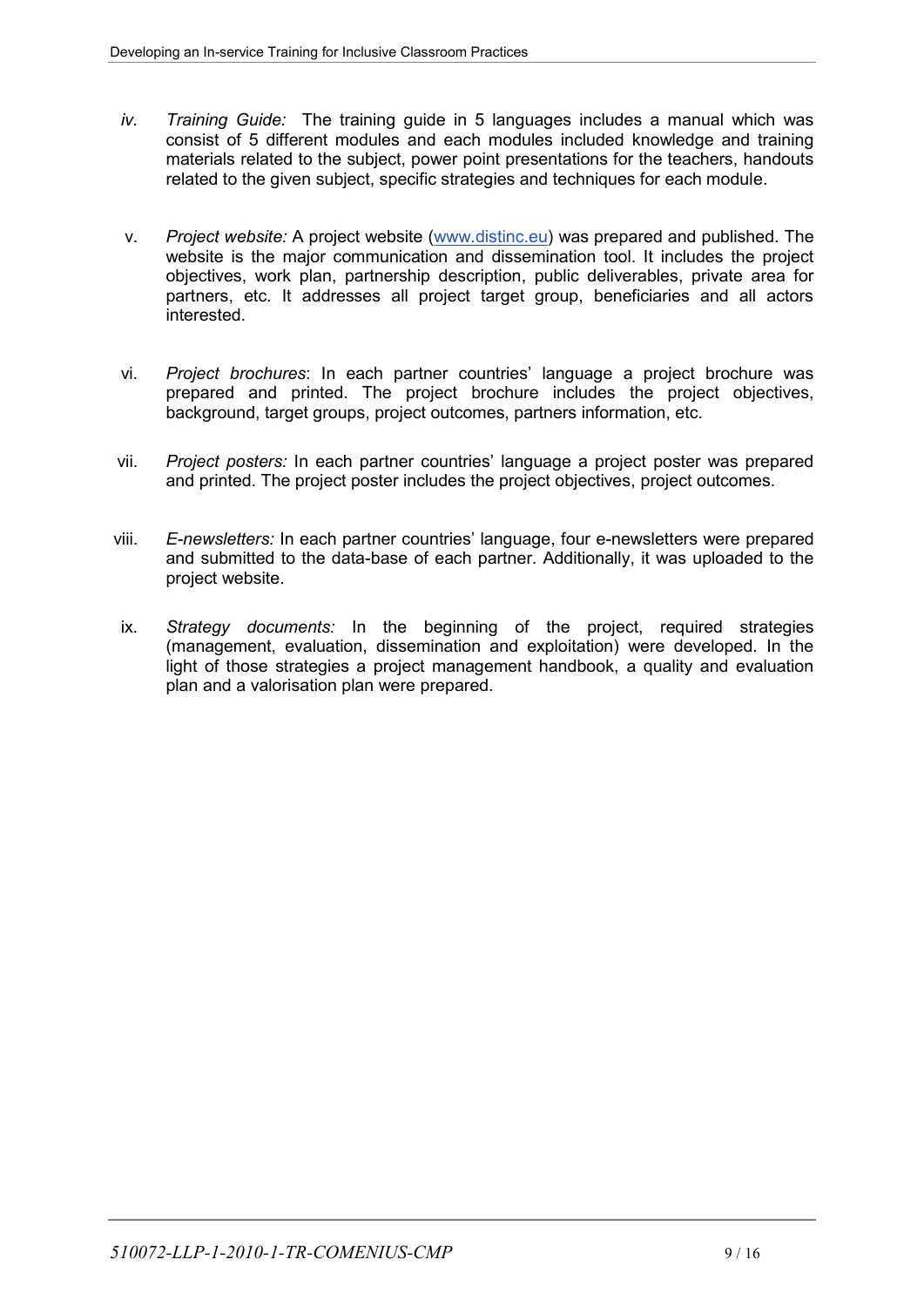- *iv. Training Guide:* The training guide in 5 languages includes a manual which was consist of 5 different modules and each modules included knowledge and training materials related to the subject, power point presentations for the teachers, handouts related to the given subject, specific strategies and techniques for each module.
- v. *Project website:* A project website [\(www.distinc.eu\)](http://www.distinc.eu/) was prepared and published. The website is the major communication and dissemination tool. It includes the project objectives, work plan, partnership description, public deliverables, private area for partners, etc. It addresses all project target group, beneficiaries and all actors interested.
- vi. *Project brochures*: In each partner countries' language a project brochure was prepared and printed. The project brochure includes the project objectives, background, target groups, project outcomes, partners information, etc.
- vii. *Project posters:* In each partner countries' language a project poster was prepared and printed. The project poster includes the project objectives, project outcomes.
- viii. *E-newsletters:* In each partner countries' language, four e-newsletters were prepared and submitted to the data-base of each partner. Additionally, it was uploaded to the project website.
- ix. *Strategy documents:* In the beginning of the project, required strategies (management, evaluation, dissemination and exploitation) were developed. In the light of those strategies a project management handbook, a quality and evaluation plan and a valorisation plan were prepared.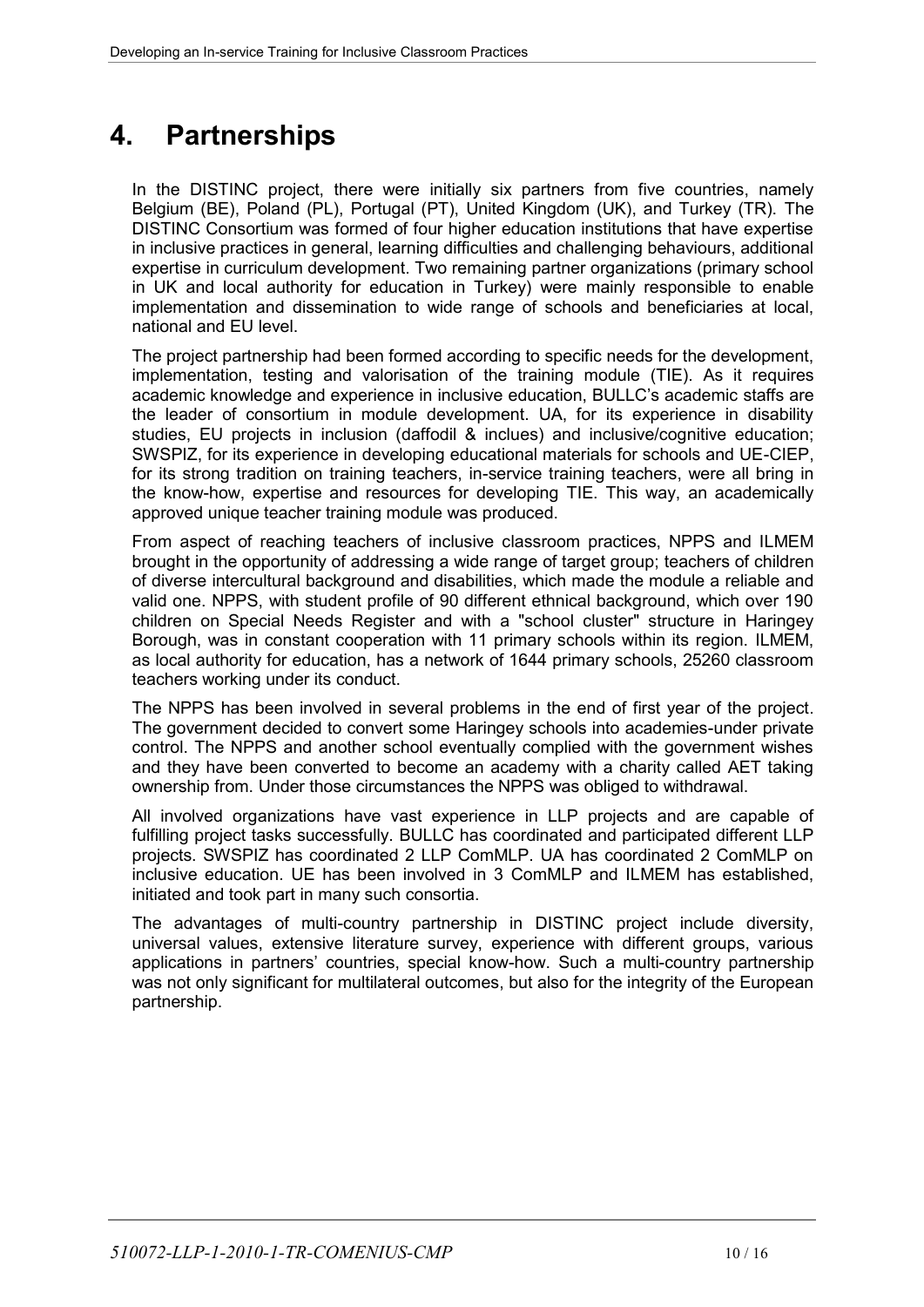## <span id="page-9-0"></span>**4. Partnerships**

In the DISTINC project, there were initially six partners from five countries, namely Belgium (BE), Poland (PL), Portugal (PT), United Kingdom (UK), and Turkey (TR). The DISTINC Consortium was formed of four higher education institutions that have expertise in inclusive practices in general, learning difficulties and challenging behaviours, additional expertise in curriculum development. Two remaining partner organizations (primary school in UK and local authority for education in Turkey) were mainly responsible to enable implementation and dissemination to wide range of schools and beneficiaries at local, national and EU level.

The project partnership had been formed according to specific needs for the development, implementation, testing and valorisation of the training module (TIE). As it requires academic knowledge and experience in inclusive education, BULLC's academic staffs are the leader of consortium in module development. UA, for its experience in disability studies, EU projects in inclusion (daffodil & inclues) and inclusive/cognitive education; SWSPIZ, for its experience in developing educational materials for schools and UE-CIEP, for its strong tradition on training teachers, in-service training teachers, were all bring in the know-how, expertise and resources for developing TIE. This way, an academically approved unique teacher training module was produced.

From aspect of reaching teachers of inclusive classroom practices, NPPS and ILMEM brought in the opportunity of addressing a wide range of target group; teachers of children of diverse intercultural background and disabilities, which made the module a reliable and valid one. NPPS, with student profile of 90 different ethnical background, which over 190 children on Special Needs Register and with a "school cluster" structure in Haringey Borough, was in constant cooperation with 11 primary schools within its region. ILMEM, as local authority for education, has a network of 1644 primary schools, 25260 classroom teachers working under its conduct.

The NPPS has been involved in several problems in the end of first year of the project. The government decided to convert some Haringey schools into academies-under private control. The NPPS and another school eventually complied with the government wishes and they have been converted to become an academy with a charity called AET taking ownership from. Under those circumstances the NPPS was obliged to withdrawal.

All involved organizations have vast experience in LLP projects and are capable of fulfilling project tasks successfully. BULLC has coordinated and participated different LLP projects. SWSPIZ has coordinated 2 LLP ComMLP. UA has coordinated 2 ComMLP on inclusive education. UE has been involved in 3 ComMLP and ILMEM has established, initiated and took part in many such consortia.

The advantages of multi-country partnership in DISTINC project include diversity, universal values, extensive literature survey, experience with different groups, various applications in partners' countries, special know-how. Such a multi-country partnership was not only significant for multilateral outcomes, but also for the integrity of the European partnership.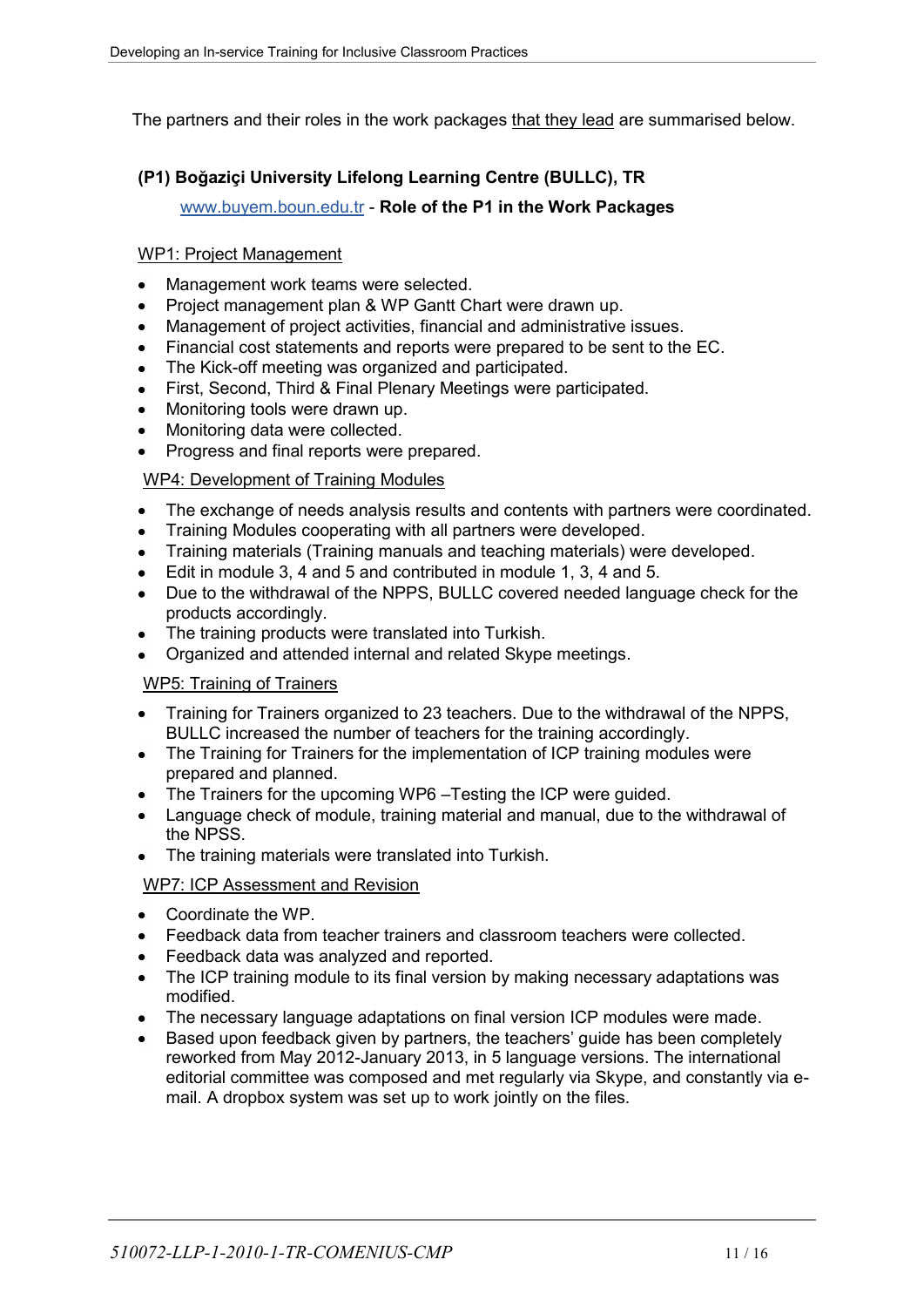The partners and their roles in the work packages that they lead are summarised below.

## **(P1) Boğaziçi University Lifelong Learning Centre (BULLC), TR**

### [www.buyem.boun.edu.tr](http://www.buyem.boun.edu.tr/) - **Role of the P1 in the Work Packages**

### WP1: Project Management

- Management work teams were selected.
- Project management plan & WP Gantt Chart were drawn up.
- Management of project activities, financial and administrative issues.
- Financial cost statements and reports were prepared to be sent to the EC.
- The Kick-off meeting was organized and participated.
- First, Second, Third & Final Plenary Meetings were participated.
- Monitoring tools were drawn up.
- Monitoring data were collected.
- Progress and final reports were prepared.

### WP4: Development of Training Modules

- The exchange of needs analysis results and contents with partners were coordinated.
- Training Modules cooperating with all partners were developed.
- Training materials (Training manuals and teaching materials) were developed.
- Edit in module 3, 4 and 5 and contributed in module 1, 3, 4 and 5.
- Due to the withdrawal of the NPPS, BULLC covered needed language check for the products accordingly.
- The training products were translated into Turkish.
- Organized and attended internal and related Skype meetings.

### WP5: Training of Trainers

- Training for Trainers organized to 23 teachers. Due to the withdrawal of the NPPS, BULLC increased the number of teachers for the training accordingly.
- The Training for Trainers for the implementation of ICP training modules were prepared and planned.
- The Trainers for the upcoming WP6-Testing the ICP were guided.
- Language check of module, training material and manual, due to the withdrawal of the NPSS.
- The training materials were translated into Turkish.

### WP7: ICP Assessment and Revision

- Coordinate the WP.
- Feedback data from teacher trainers and classroom teachers were collected.
- Feedback data was analyzed and reported.
- The ICP training module to its final version by making necessary adaptations was modified.
- The necessary language adaptations on final version ICP modules were made.
- Based upon feedback given by partners, the teachers' guide has been completely reworked from May 2012-January 2013, in 5 language versions. The international editorial committee was composed and met regularly via Skype, and constantly via email. A dropbox system was set up to work jointly on the files.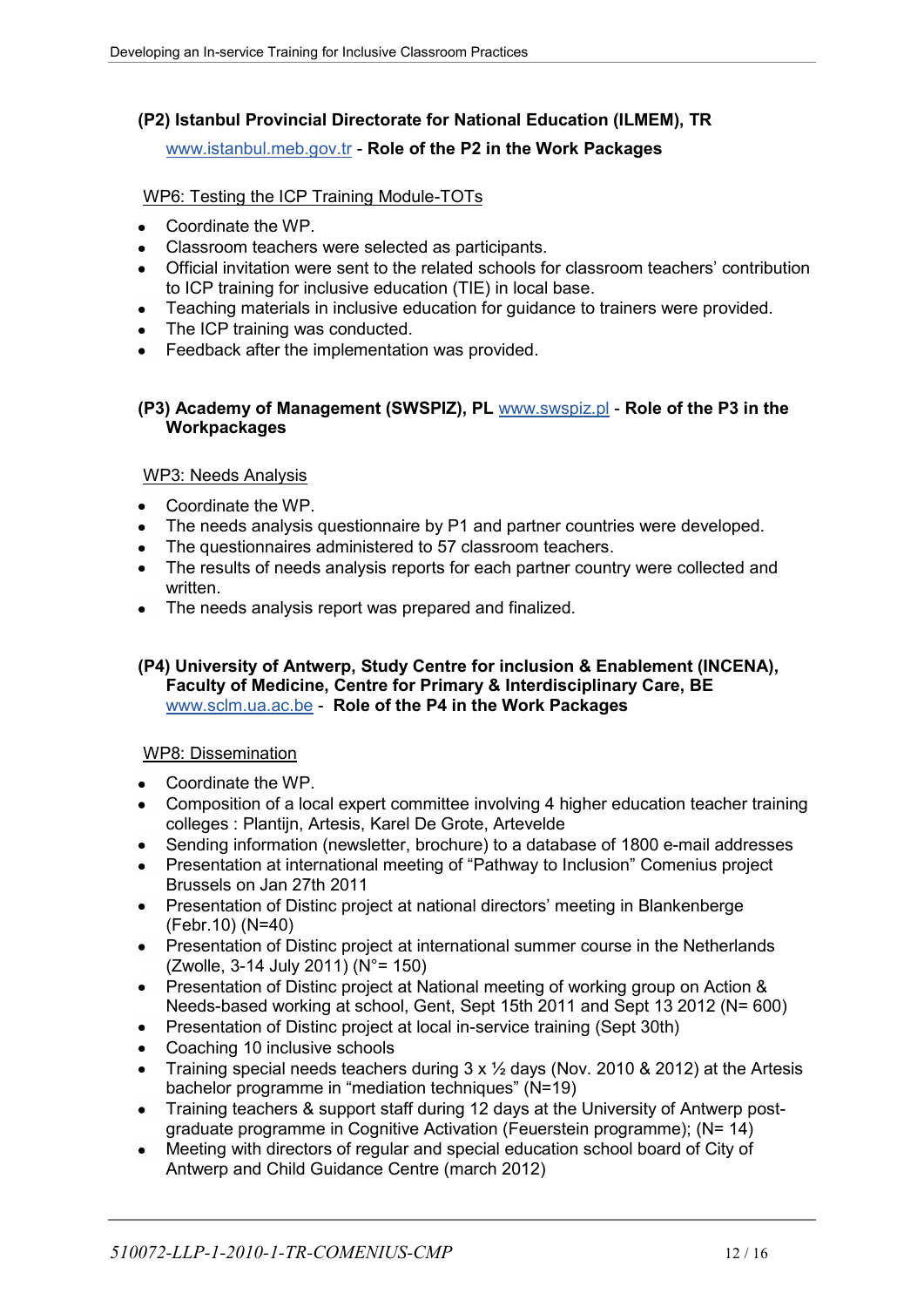## **(P2) Istanbul Provincial Directorate for National Education (ILMEM), TR**

## [www.istanbul.meb.gov.tr](http://www.istanbul.meb.gov.tr/) - **Role of the P2 in the Work Packages**

### WP6: Testing the ICP Training Module-TOTs

- Coordinate the WP.
- Classroom teachers were selected as participants.
- Official invitation were sent to the related schools for classroom teachers' contribution to ICP training for inclusive education (TIE) in local base.
- Teaching materials in inclusive education for guidance to trainers were provided.
- The ICP training was conducted.
- Feedback after the implementation was provided.

### **(P3) Academy of Management (SWSPIZ), PL** [www.swspiz.pl](http://www.swspiz.pl/) - **Role of the P3 in the Workpackages**

### WP3: Needs Analysis

- Coordinate the WP.
- The needs analysis questionnaire by P1 and partner countries were developed.
- The questionnaires administered to 57 classroom teachers.
- The results of needs analysis reports for each partner country were collected and written.
- The needs analysis report was prepared and finalized.

#### **(P4) University of Antwerp, Study Centre for inclusion & Enablement (INCENA), Faculty of Medicine, Centre for Primary & Interdisciplinary Care, BE** [www.sclm.ua.ac.be](http://www.sclm.ua.ac.be/) - **Role of the P4 in the Work Packages**

### WP8: Dissemination

- Coordinate the WP.
- Composition of a local expert committee involving 4 higher education teacher training colleges : Plantijn, Artesis, Karel De Grote, Artevelde
- Sending information (newsletter, brochure) to a database of 1800 e-mail addresses
- Presentation at international meeting of "Pathway to Inclusion" Comenius project Brussels on Jan 27th 2011
- Presentation of Distinc project at national directors' meeting in Blankenberge (Febr.10) (N=40)
- Presentation of Distinc project at international summer course in the Netherlands (Zwolle, 3-14 July 2011) (N°= 150)
- Presentation of Distinc project at National meeting of working group on Action & Needs-based working at school, Gent, Sept 15th 2011 and Sept 13 2012 (N= 600)
- Presentation of Distinc project at local in-service training (Sept 30th)
- Coaching 10 inclusive schools
- Training special needs teachers during  $3 \times \frac{1}{2}$  days (Nov. 2010 & 2012) at the Artesis bachelor programme in "mediation techniques" (N=19)
- Training teachers & support staff during 12 days at the University of Antwerp postgraduate programme in Cognitive Activation (Feuerstein programme); (N= 14)
- Meeting with directors of regular and special education school board of City of Antwerp and Child Guidance Centre (march 2012)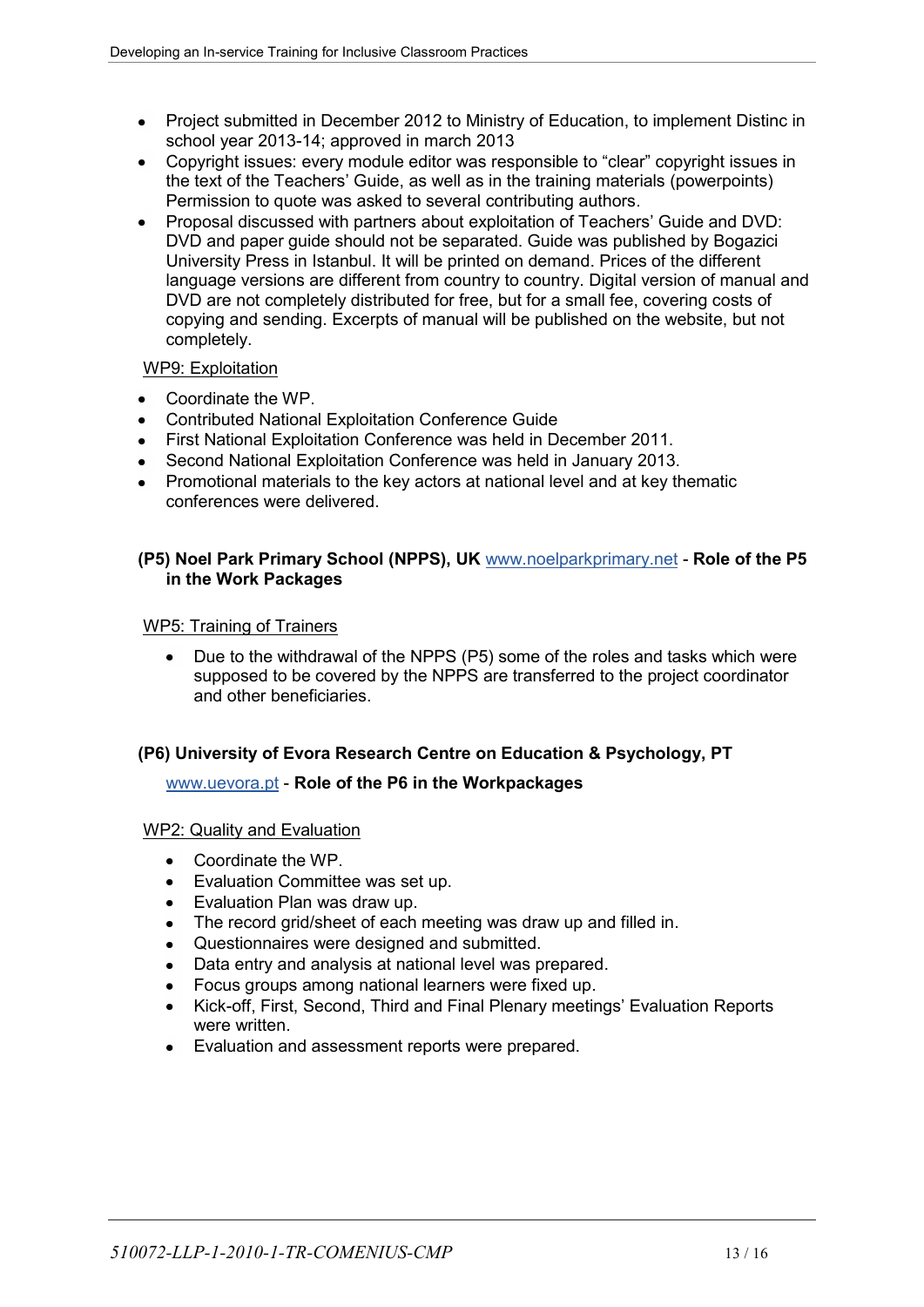- Project submitted in December 2012 to Ministry of Education, to implement Distinc in school year 2013-14; approved in march 2013
- Copyright issues: every module editor was responsible to "clear" copyright issues in the text of the Teachers' Guide, as well as in the training materials (powerpoints) Permission to quote was asked to several contributing authors.
- Proposal discussed with partners about exploitation of Teachers' Guide and DVD: DVD and paper guide should not be separated. Guide was published by Bogazici University Press in Istanbul. It will be printed on demand. Prices of the different language versions are different from country to country. Digital version of manual and DVD are not completely distributed for free, but for a small fee, covering costs of copying and sending. Excerpts of manual will be published on the website, but not completely.

## WP9: Exploitation

- Coordinate the WP.
- Contributed National Exploitation Conference Guide
- First National Exploitation Conference was held in December 2011.
- Second National Exploitation Conference was held in January 2013.
- Promotional materials to the key actors at national level and at key thematic conferences were delivered.

### **(P5) Noel Park Primary School (NPPS), UK** [www.noelparkprimary.net](http://www.noelparkprimary.net/) - **Role of the P5 in the Work Packages**

### WP5: Training of Trainers

Due to the withdrawal of the NPPS (P5) some of the roles and tasks which were supposed to be covered by the NPPS are transferred to the project coordinator and other beneficiaries.

## **(P6) University of Evora Research Centre on Education & Psychology, PT**

### [www.uevora.pt](http://www.uevora.pt/) - **Role of the P6 in the Workpackages**

### WP2: Quality and Evaluation

- $\bullet$ Coordinate the WP.
- Evaluation Committee was set up.  $\bullet$
- Evaluation Plan was draw up.  $\bullet$
- The record grid/sheet of each meeting was draw up and filled in.
- Questionnaires were designed and submitted.  $\bullet$
- Data entry and analysis at national level was prepared.  $\bullet$
- Focus groups among national learners were fixed up.  $\bullet$
- Kick-off, First, Second, Third and Final Plenary meetings' Evaluation Reports were written.
- Evaluation and assessment reports were prepared.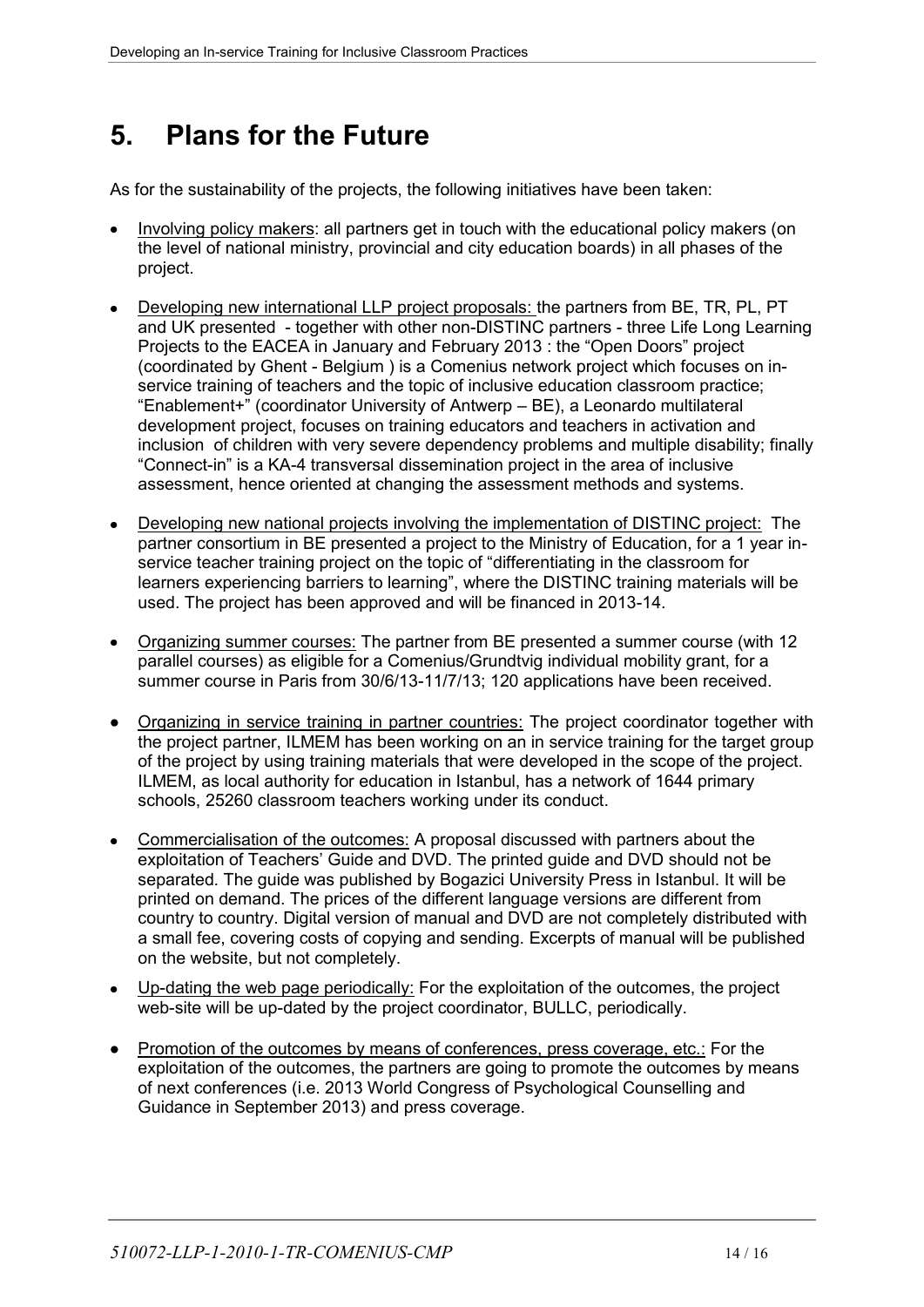## <span id="page-13-0"></span>**5. Plans for the Future**

As for the sustainability of the projects, the following initiatives have been taken:

- Involving policy makers: all partners get in touch with the educational policy makers (on the level of national ministry, provincial and city education boards) in all phases of the project.
- Developing new international LLP project proposals: the partners from BE, TR, PL, PT and UK presented - together with other non-DISTINC partners - three Life Long Learning Projects to the EACEA in January and February 2013 : the "Open Doors" project (coordinated by Ghent - Belgium ) is a Comenius network project which focuses on inservice training of teachers and the topic of inclusive education classroom practice; "Enablement+" (coordinator University of Antwerp – BE), a Leonardo multilateral development project, focuses on training educators and teachers in activation and inclusion of children with very severe dependency problems and multiple disability; finally "Connect-in" is a KA-4 transversal dissemination project in the area of inclusive assessment, hence oriented at changing the assessment methods and systems.
- Developing new national projects involving the implementation of DISTINC project: The partner consortium in BE presented a project to the Ministry of Education, for a 1 year inservice teacher training project on the topic of "differentiating in the classroom for learners experiencing barriers to learning", where the DISTINC training materials will be used. The project has been approved and will be financed in 2013-14.
- Organizing summer courses: The partner from BE presented a summer course (with 12 parallel courses) as eligible for a Comenius/Grundtvig individual mobility grant, for a summer course in Paris from 30/6/13-11/7/13; 120 applications have been received.
- Organizing in service training in partner countries: The project coordinator together with the project partner, ILMEM has been working on an in service training for the target group of the project by using training materials that were developed in the scope of the project. ILMEM, as local authority for education in Istanbul, has a network of 1644 primary schools, 25260 classroom teachers working under its conduct.
- Commercialisation of the outcomes: A proposal discussed with partners about the exploitation of Teachers' Guide and DVD. The printed guide and DVD should not be separated. The guide was published by Bogazici University Press in Istanbul. It will be printed on demand. The prices of the different language versions are different from country to country. Digital version of manual and DVD are not completely distributed with a small fee, covering costs of copying and sending. Excerpts of manual will be published on the website, but not completely.
- Up-dating the web page periodically: For the exploitation of the outcomes, the project web-site will be up-dated by the project coordinator, BULLC, periodically.
- Promotion of the outcomes by means of conferences, press coverage, etc.: For the exploitation of the outcomes, the partners are going to promote the outcomes by means of next conferences (i.e. 2013 World Congress of Psychological Counselling and Guidance in September 2013) and press coverage.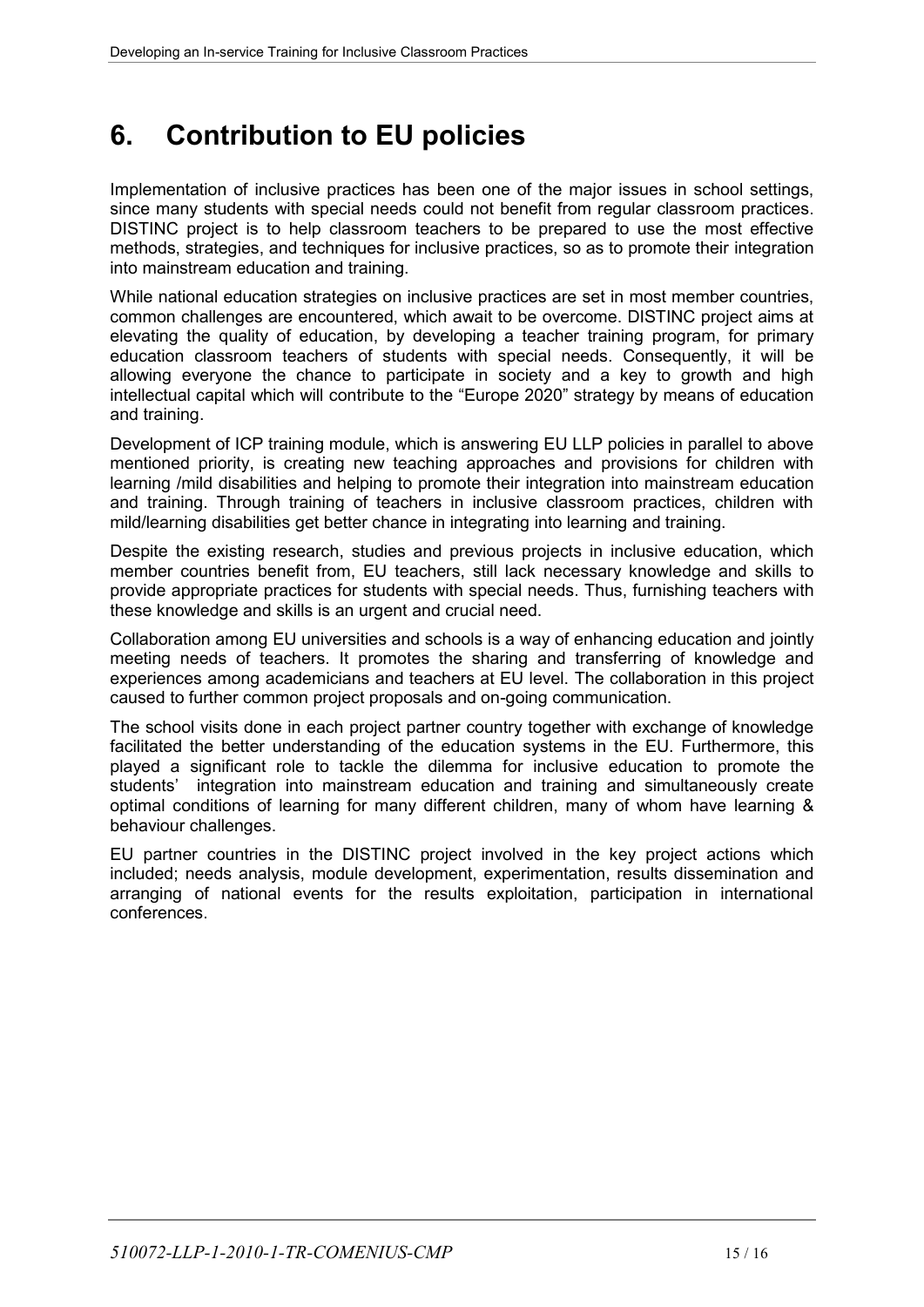## <span id="page-14-0"></span>**6. Contribution to EU policies**

Implementation of inclusive practices has been one of the major issues in school settings, since many students with special needs could not benefit from regular classroom practices. DISTINC project is to help classroom teachers to be prepared to use the most effective methods, strategies, and techniques for inclusive practices, so as to promote their integration into mainstream education and training.

While national education strategies on inclusive practices are set in most member countries, common challenges are encountered, which await to be overcome. DISTINC project aims at elevating the quality of education, by developing a teacher training program, for primary education classroom teachers of students with special needs. Consequently, it will be allowing everyone the chance to participate in society and a key to growth and high intellectual capital which will contribute to the "Europe 2020" strategy by means of education and training.

Development of ICP training module, which is answering EU LLP policies in parallel to above mentioned priority, is creating new teaching approaches and provisions for children with learning /mild disabilities and helping to promote their integration into mainstream education and training. Through training of teachers in inclusive classroom practices, children with mild/learning disabilities get better chance in integrating into learning and training.

Despite the existing research, studies and previous projects in inclusive education, which member countries benefit from, EU teachers, still lack necessary knowledge and skills to provide appropriate practices for students with special needs. Thus, furnishing teachers with these knowledge and skills is an urgent and crucial need.

Collaboration among EU universities and schools is a way of enhancing education and jointly meeting needs of teachers. It promotes the sharing and transferring of knowledge and experiences among academicians and teachers at EU level. The collaboration in this project caused to further common project proposals and on-going communication.

The school visits done in each project partner country together with exchange of knowledge facilitated the better understanding of the education systems in the EU. Furthermore, this played a significant role to tackle the dilemma for inclusive education to promote the students' integration into mainstream education and training and simultaneously create optimal conditions of learning for many different children, many of whom have learning & behaviour challenges.

EU partner countries in the DISTINC project involved in the key project actions which included; needs analysis, module development, experimentation, results dissemination and arranging of national events for the results exploitation, participation in international conferences.